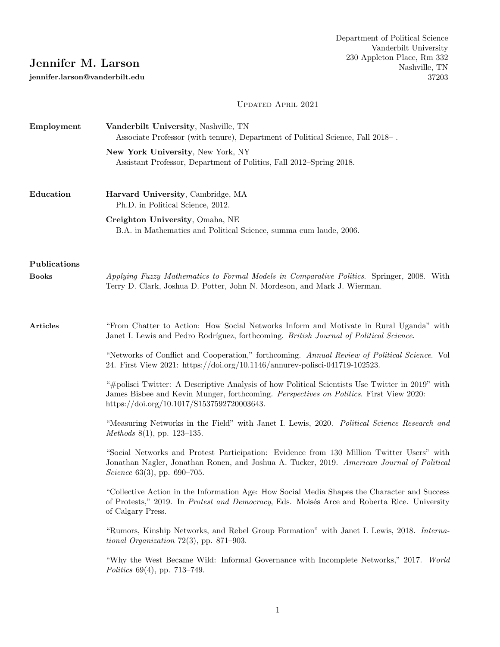# Jennifer M. Larson

jennifer.larson@vanderbilt.edu

# Updated April 2021

| Employment   | Vanderbilt University, Nashville, TN<br>Associate Professor (with tenure), Department of Political Science, Fall 2018–.                                                                                                                 |
|--------------|-----------------------------------------------------------------------------------------------------------------------------------------------------------------------------------------------------------------------------------------|
|              | New York University, New York, NY<br>Assistant Professor, Department of Politics, Fall 2012–Spring 2018.                                                                                                                                |
| Education    | Harvard University, Cambridge, MA<br>Ph.D. in Political Science, 2012.                                                                                                                                                                  |
|              | Creighton University, Omaha, NE<br>B.A. in Mathematics and Political Science, summa cum laude, 2006.                                                                                                                                    |
| Publications |                                                                                                                                                                                                                                         |
| <b>Books</b> | Applying Fuzzy Mathematics to Formal Models in Comparative Politics. Springer, 2008. With<br>Terry D. Clark, Joshua D. Potter, John N. Mordeson, and Mark J. Wierman.                                                                   |
| Articles     | "From Chatter to Action: How Social Networks Inform and Motivate in Rural Uganda" with<br>Janet I. Lewis and Pedro Rodríguez, forthcoming. British Journal of Political Science.                                                        |
|              | "Networks of Conflict and Cooperation," forthcoming. Annual Review of Political Science. Vol<br>24. First View 2021: https://doi.org/10.1146/annurev-polisci-041719-102523.                                                             |
|              | "#polisci Twitter: A Descriptive Analysis of how Political Scientists Use Twitter in 2019" with<br>James Bisbee and Kevin Munger, forthcoming. Perspectives on Politics. First View 2020:<br>https://doi.org/10.1017/S1537592720003643. |
|              | "Measuring Networks in the Field" with Janet I. Lewis, 2020. Political Science Research and<br>Methods $8(1)$ , pp. 123-135.                                                                                                            |
|              | "Social Networks and Protest Participation: Evidence from 130 Million Twitter Users" with<br>Jonathan Nagler, Jonathan Ronen, and Joshua A. Tucker, 2019. American Journal of Political<br>Science 63(3), pp. 690–705.                  |
|              | "Collective Action in the Information Age: How Social Media Shapes the Character and Success<br>of Protests," 2019. In Protest and Democracy, Eds. Moisés Arce and Roberta Rice. University<br>of Calgary Press.                        |
|              | "Rumors, Kinship Networks, and Rebel Group Formation" with Janet I. Lewis, 2018. Interna-<br><i>tional Organization</i> 72(3), pp. 871-903.                                                                                             |
|              | "Why the West Became Wild: Informal Governance with Incomplete Networks," 2017. World<br>Politics $69(4)$ , pp. 713–749.                                                                                                                |
|              |                                                                                                                                                                                                                                         |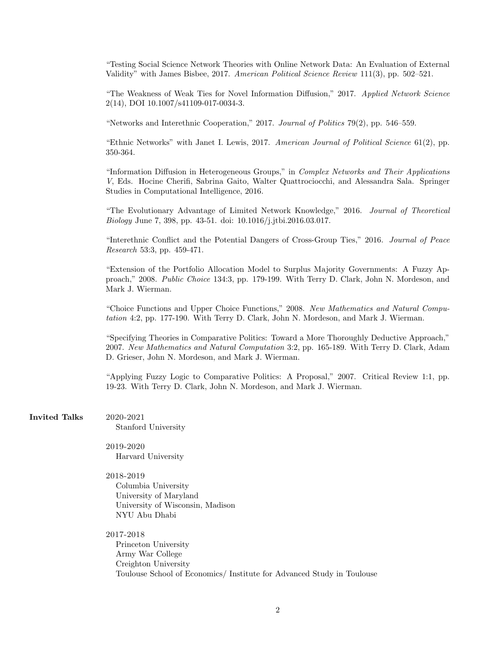"Testing Social Science Network Theories with Online Network Data: An Evaluation of External Validity" with James Bisbee, 2017. American Political Science Review 111(3), pp. 502–521.

"The Weakness of Weak Ties for Novel Information Diffusion," 2017. Applied Network Science 2(14), DOI 10.1007/s41109-017-0034-3.

"Networks and Interethnic Cooperation," 2017. Journal of Politics 79(2), pp. 546–559.

"Ethnic Networks" with Janet I. Lewis, 2017. American Journal of Political Science  $61(2)$ , pp. 350-364.

"Information Diffusion in Heterogeneous Groups," in Complex Networks and Their Applications V, Eds. Hocine Cherifi, Sabrina Gaito, Walter Quattrociocchi, and Alessandra Sala. Springer Studies in Computational Intelligence, 2016.

"The Evolutionary Advantage of Limited Network Knowledge," 2016. Journal of Theoretical Biology June 7, 398, pp. 43-51. doi: 10.1016/j.jtbi.2016.03.017.

"Interethnic Conflict and the Potential Dangers of Cross-Group Ties," 2016. Journal of Peace Research 53:3, pp. 459-471.

"Extension of the Portfolio Allocation Model to Surplus Majority Governments: A Fuzzy Approach," 2008. Public Choice 134:3, pp. 179-199. With Terry D. Clark, John N. Mordeson, and Mark J. Wierman.

"Choice Functions and Upper Choice Functions," 2008. New Mathematics and Natural Computation 4:2, pp. 177-190. With Terry D. Clark, John N. Mordeson, and Mark J. Wierman.

"Specifying Theories in Comparative Politics: Toward a More Thoroughly Deductive Approach," 2007. New Mathematics and Natural Computation 3:2, pp. 165-189. With Terry D. Clark, Adam D. Grieser, John N. Mordeson, and Mark J. Wierman.

"Applying Fuzzy Logic to Comparative Politics: A Proposal," 2007. Critical Review 1:1, pp. 19-23. With Terry D. Clark, John N. Mordeson, and Mark J. Wierman.

Invited Talks 2020-2021 Stanford University

> 2019-2020 Harvard University

2018-2019

Columbia University University of Maryland University of Wisconsin, Madison NYU Abu Dhabi

2017-2018 Princeton University Army War College Creighton University Toulouse School of Economics/ Institute for Advanced Study in Toulouse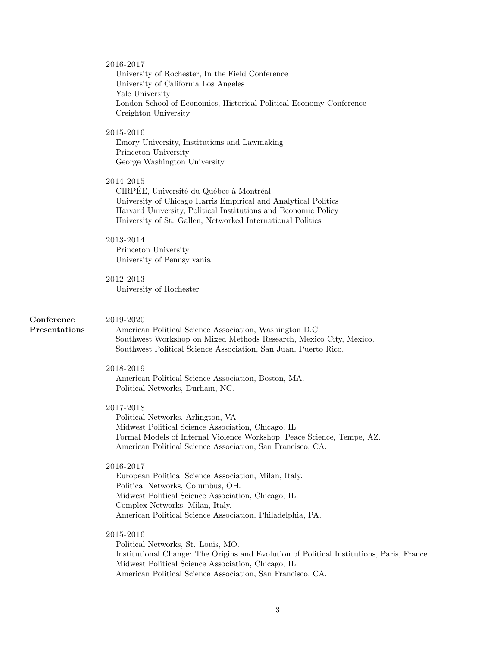#### 2016-2017

University of Rochester, In the Field Conference University of California Los Angeles Yale University London School of Economics, Historical Political Economy Conference Creighton University

## 2015-2016

Emory University, Institutions and Lawmaking Princeton University George Washington University

## 2014-2015

CIRPEE, Université du Québec à Montréal University of Chicago Harris Empirical and Analytical Politics Harvard University, Political Institutions and Economic Policy University of St. Gallen, Networked International Politics

#### 2013-2014

Princeton University University of Pennsylvania

## 2012-2013

2019-2020

University of Rochester

## Conference Presentations

American Political Science Association, Washington D.C. Southwest Workshop on Mixed Methods Research, Mexico City, Mexico. Southwest Political Science Association, San Juan, Puerto Rico.

#### 2018-2019

American Political Science Association, Boston, MA. Political Networks, Durham, NC.

## 2017-2018

Political Networks, Arlington, VA Midwest Political Science Association, Chicago, IL. Formal Models of Internal Violence Workshop, Peace Science, Tempe, AZ. American Political Science Association, San Francisco, CA.

#### 2016-2017

European Political Science Association, Milan, Italy. Political Networks, Columbus, OH. Midwest Political Science Association, Chicago, IL. Complex Networks, Milan, Italy. American Political Science Association, Philadelphia, PA.

## 2015-2016

Political Networks, St. Louis, MO. Institutional Change: The Origins and Evolution of Political Institutions, Paris, France. Midwest Political Science Association, Chicago, IL. American Political Science Association, San Francisco, CA.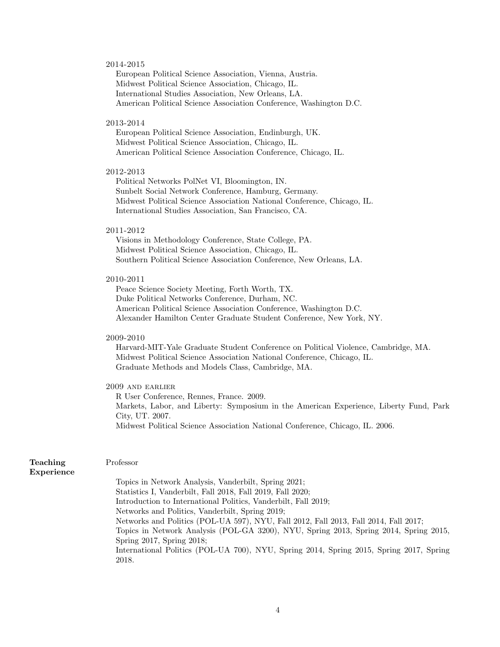#### 2014-2015

European Political Science Association, Vienna, Austria. Midwest Political Science Association, Chicago, IL. International Studies Association, New Orleans, LA. American Political Science Association Conference, Washington D.C.

#### 2013-2014

European Political Science Association, Endinburgh, UK. Midwest Political Science Association, Chicago, IL. American Political Science Association Conference, Chicago, IL.

#### 2012-2013

Political Networks PolNet VI, Bloomington, IN. Sunbelt Social Network Conference, Hamburg, Germany. Midwest Political Science Association National Conference, Chicago, IL. International Studies Association, San Francisco, CA.

#### 2011-2012

Visions in Methodology Conference, State College, PA. Midwest Political Science Association, Chicago, IL. Southern Political Science Association Conference, New Orleans, LA.

#### 2010-2011

Peace Science Society Meeting, Forth Worth, TX. Duke Political Networks Conference, Durham, NC. American Political Science Association Conference, Washington D.C. Alexander Hamilton Center Graduate Student Conference, New York, NY.

## 2009-2010

Harvard-MIT-Yale Graduate Student Conference on Political Violence, Cambridge, MA. Midwest Political Science Association National Conference, Chicago, IL. Graduate Methods and Models Class, Cambridge, MA.

# 2009 and earlier

R User Conference, Rennes, France. 2009. Markets, Labor, and Liberty: Symposium in the American Experience, Liberty Fund, Park City, UT. 2007. Midwest Political Science Association National Conference, Chicago, IL. 2006.

| Teaching   | Professor                                                                               |
|------------|-----------------------------------------------------------------------------------------|
| Experience |                                                                                         |
|            | Topics in Network Analysis, Vanderbilt, Spring 2021;                                    |
|            | Statistics I, Vanderbilt, Fall 2018, Fall 2019, Fall 2020;                              |
|            | Introduction to International Politics, Vanderbilt, Fall 2019;                          |
|            | Networks and Politics, Vanderbilt, Spring 2019;                                         |
|            | Networks and Politics (POL-UA 597), NYU, Fall 2012, Fall 2013, Fall 2014, Fall 2017;    |
|            | Topics in Network Analysis (POL-GA 3200), NYU, Spring 2013, Spring 2014, Spring 2015,   |
|            | Spring $2017$ , Spring $2018$ ;                                                         |
|            | International Politics (POL-UA 700), NYU, Spring 2014, Spring 2015, Spring 2017, Spring |
|            | 2018.                                                                                   |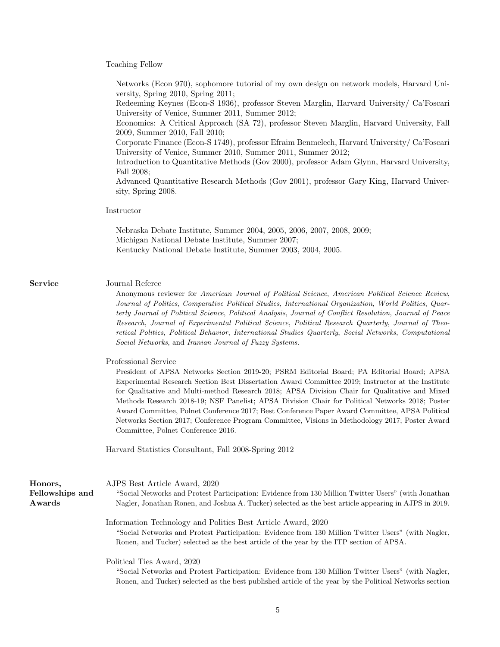Teaching Fellow

Service

Honors, Fellowships Awards

| Networks (Econ 970), sophomore tutorial of my own design on network models, Harvard Uni-<br>versity, Spring 2010, Spring 2011;                                                                                                                                                                                                                                                                                                                                                                                                                                                                                                                                        |
|-----------------------------------------------------------------------------------------------------------------------------------------------------------------------------------------------------------------------------------------------------------------------------------------------------------------------------------------------------------------------------------------------------------------------------------------------------------------------------------------------------------------------------------------------------------------------------------------------------------------------------------------------------------------------|
| Redeeming Keynes (Econ-S 1936), professor Steven Marglin, Harvard University/ Ca'Foscari<br>University of Venice, Summer 2011, Summer 2012;                                                                                                                                                                                                                                                                                                                                                                                                                                                                                                                           |
| Economics: A Critical Approach (SA 72), professor Steven Marglin, Harvard University, Fall                                                                                                                                                                                                                                                                                                                                                                                                                                                                                                                                                                            |
| 2009, Summer 2010, Fall 2010;<br>Corporate Finance (Econ-S 1749), professor Efraim Benmelech, Harvard University/ Ca'Foscari<br>University of Venice, Summer 2010, Summer 2011, Summer 2012;                                                                                                                                                                                                                                                                                                                                                                                                                                                                          |
| Introduction to Quantitative Methods (Gov 2000), professor Adam Glynn, Harvard University,                                                                                                                                                                                                                                                                                                                                                                                                                                                                                                                                                                            |
| Fall 2008;<br>Advanced Quantitative Research Methods (Gov 2001), professor Gary King, Harvard Univer-<br>sity, Spring 2008.                                                                                                                                                                                                                                                                                                                                                                                                                                                                                                                                           |
| Instructor                                                                                                                                                                                                                                                                                                                                                                                                                                                                                                                                                                                                                                                            |
| Nebraska Debate Institute, Summer 2004, 2005, 2006, 2007, 2008, 2009;<br>Michigan National Debate Institute, Summer 2007;<br>Kentucky National Debate Institute, Summer 2003, 2004, 2005.                                                                                                                                                                                                                                                                                                                                                                                                                                                                             |
|                                                                                                                                                                                                                                                                                                                                                                                                                                                                                                                                                                                                                                                                       |
| Journal Referee<br>Anonymous reviewer for American Journal of Political Science, American Political Science Review,<br>Journal of Politics, Comparative Political Studies, International Organization, World Politics, Quar-<br>terly Journal of Political Science, Political Analysis, Journal of Conflict Resolution, Journal of Peace<br>Research, Journal of Experimental Political Science, Political Research Quarterly, Journal of Theo-<br>retical Politics, Political Behavior, International Studies Quarterly, Social Networks, Computational<br>Social Networks, and Iranian Journal of Fuzzy Systems.                                                    |
| Professional Service<br>President of APSA Networks Section 2019-20; PSRM Editorial Board; PA Editorial Board; APSA<br>Experimental Research Section Best Dissertation Award Committee 2019; Instructor at the Institute<br>for Qualitative and Multi-method Research 2018; APSA Division Chair for Qualitative and Mixed<br>Methods Research 2018-19; NSF Panelist; APSA Division Chair for Political Networks 2018; Poster<br>Award Committee, Polnet Conference 2017; Best Conference Paper Award Committee, APSA Political<br>Networks Section 2017; Conference Program Committee, Visions in Methodology 2017; Poster Award<br>Committee, Polnet Conference 2016. |
| Harvard Statistics Consultant, Fall 2008-Spring 2012                                                                                                                                                                                                                                                                                                                                                                                                                                                                                                                                                                                                                  |
| AJPS Best Article Award, 2020                                                                                                                                                                                                                                                                                                                                                                                                                                                                                                                                                                                                                                         |
| "Social Networks and Protest Participation: Evidence from 130 Million Twitter Users" (with Jonathan<br>Nagler, Jonathan Ronen, and Joshua A. Tucker) selected as the best article appearing in AJPS in 2019.                                                                                                                                                                                                                                                                                                                                                                                                                                                          |
| Information Technology and Politics Best Article Award, 2020<br>"Social Networks and Protest Participation: Evidence from 130 Million Twitter Users" (with Nagler,<br>Ronen, and Tucker) selected as the best article of the year by the ITP section of APSA.                                                                                                                                                                                                                                                                                                                                                                                                         |
| Political Ties Award, 2020<br>"Social Networks and Protest Participation: Evidence from 130 Million Twitter Users" (with Nagler,<br>Ronen, and Tucker) selected as the best published article of the year by the Political Networks section                                                                                                                                                                                                                                                                                                                                                                                                                           |
|                                                                                                                                                                                                                                                                                                                                                                                                                                                                                                                                                                                                                                                                       |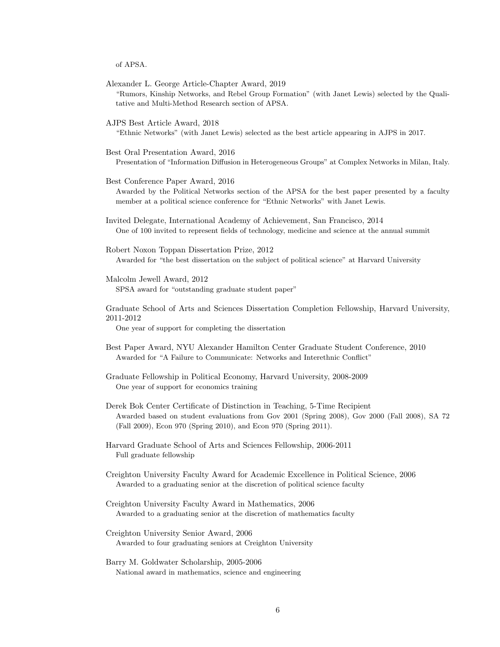of APSA.

- "Rumors, Kinship Networks, and Rebel Group Formation" (with Janet Lewis) selected by the Qualitative and Multi-Method Research section of APSA. AJPS Best Article Award, 2018 "Ethnic Networks" (with Janet Lewis) selected as the best article appearing in AJPS in 2017. Best Oral Presentation Award, 2016 Presentation of "Information Diffusion in Heterogeneous Groups" at Complex Networks in Milan, Italy. Best Conference Paper Award, 2016 Awarded by the Political Networks section of the APSA for the best paper presented by a faculty member at a political science conference for "Ethnic Networks" with Janet Lewis.
- Invited Delegate, International Academy of Achievement, San Francisco, 2014 One of 100 invited to represent fields of technology, medicine and science at the annual summit
- Robert Noxon Toppan Dissertation Prize, 2012 Awarded for "the best dissertation on the subject of political science" at Harvard University
- Malcolm Jewell Award, 2012 SPSA award for "outstanding graduate student paper"

Alexander L. George Article-Chapter Award, 2019

Graduate School of Arts and Sciences Dissertation Completion Fellowship, Harvard University, 2011-2012

One year of support for completing the dissertation

- Best Paper Award, NYU Alexander Hamilton Center Graduate Student Conference, 2010 Awarded for "A Failure to Communicate: Networks and Interethnic Conflict"
- Graduate Fellowship in Political Economy, Harvard University, 2008-2009 One year of support for economics training
- Derek Bok Center Certificate of Distinction in Teaching, 5-Time Recipient Awarded based on student evaluations from Gov 2001 (Spring 2008), Gov 2000 (Fall 2008), SA 72 (Fall 2009), Econ 970 (Spring 2010), and Econ 970 (Spring 2011).
- Harvard Graduate School of Arts and Sciences Fellowship, 2006-2011 Full graduate fellowship
- Creighton University Faculty Award for Academic Excellence in Political Science, 2006 Awarded to a graduating senior at the discretion of political science faculty
- Creighton University Faculty Award in Mathematics, 2006 Awarded to a graduating senior at the discretion of mathematics faculty
- Creighton University Senior Award, 2006 Awarded to four graduating seniors at Creighton University
- Barry M. Goldwater Scholarship, 2005-2006 National award in mathematics, science and engineering